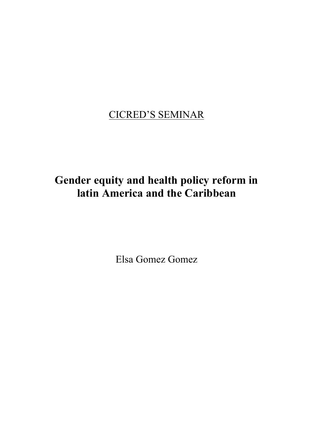# CICRED'S SEMINAR

# **Gender equity and health policy reform in latin America and the Caribbean**

Elsa Gomez Gomez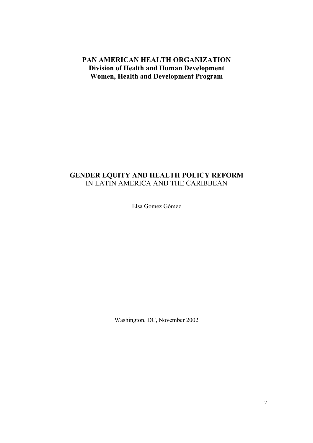# **PAN AMERICAN HEALTH ORGANIZATION Division of Health and Human Development Women, Health and Development Program**

# **GENDER EQUITY AND HEALTH POLICY REFORM**  IN LATIN AMERICA AND THE CARIBBEAN

Elsa Gómez Gómez

Washington, DC, November 2002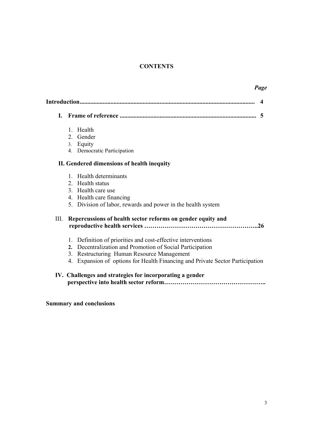# **CONTENTS**

|      |                |                                                                            | $\boldsymbol{4}$ |
|------|----------------|----------------------------------------------------------------------------|------------------|
| I.   |                |                                                                            | 5                |
|      |                | 1. Health                                                                  |                  |
|      |                | 2. Gender                                                                  |                  |
|      |                | 3. Equity                                                                  |                  |
|      | 4.             | Democratic Participation                                                   |                  |
|      |                | II. Gendered dimensions of health inequity                                 |                  |
|      | $\mathbf{1}$   | Health determinants                                                        |                  |
|      |                | 2. Health status                                                           |                  |
|      |                | 3. Health care use                                                         |                  |
|      |                | 4. Health care financing                                                   |                  |
|      |                | 5. Division of labor, rewards and power in the health system               |                  |
| III. |                | Repercussions of health sector reforms on gender equity and                |                  |
|      |                | 1. Definition of priorities and cost-effective interventions               |                  |
|      | 2.             | Decentralization and Promotion of Social Participation                     |                  |
|      | 3 <sub>1</sub> | Restructuring Human Resource Management                                    |                  |
|      | 4.             | Expansion of options for Health Financing and Private Sector Participation |                  |
|      |                | IV. Challenges and strategies for incorporating a gender                   |                  |

# **Summary and conclusions**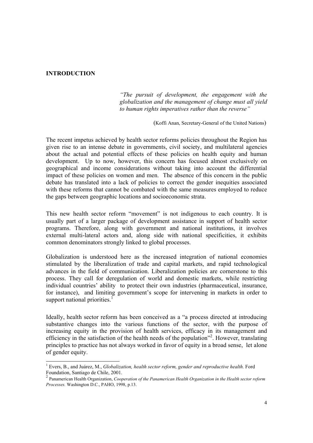# **INTRODUCTION**

l

*"The pursuit of development, the engagement with the globalization and the management of change must all yield to human rights imperatives rather than the reverse"* 

(Koffi Anan, Secretary-General of the United Nations)

The recent impetus achieved by health sector reforms policies throughout the Region has given rise to an intense debate in governments, civil society, and multilateral agencies about the actual and potential effects of these policies on health equity and human development. Up to now, however, this concern has focused almost exclusively on geographical and income considerations without taking into account the differential impact of these policies on women and men. The absence of this concern in the public debate has translated into a lack of policies to correct the gender inequities associated with these reforms that cannot be combated with the same measures employed to reduce the gaps between geographic locations and socioeconomic strata.

This new health sector reform "movement" is not indigenous to each country. It is usually part of a larger package of development assistance in support of health sector programs. Therefore, along with government and national institutions, it involves external multi-lateral actors and, along side with national specificities, it exhibits common denominators strongly linked to global processes.

Globalization is understood here as the increased integration of national economies stimulated by the liberalization of trade and capital markets, and rapid technological advances in the field of communication. Liberalization policies are cornerstone to this process. They call for deregulation of world and domestic markets, while restricting individual countries' ability to protect their own industries (pharmaceutical, insurance, for instance), and limiting government's scope for intervening in markets in order to support national priorities. $<sup>1</sup>$ </sup>

Ideally, health sector reform has been conceived as a "a process directed at introducing substantive changes into the various functions of the sector, with the purpose of increasing equity in the provision of health services, efficacy in its management and efficiency in the satisfaction of the health needs of the population"<sup>2</sup>. However, translating principles to practice has not always worked in favor of equity in a broad sense, let alone of gender equity.

<sup>&</sup>lt;sup>1</sup> Evers, B., and Juárez, M., *Globalization, health sector reform, gender and reproductive health.* Ford Foundation, Santiago de Chile, 2001.

<sup>2</sup> Panamerican Health Organization, *Cooperation of the Panamerican Health Organization in the Health sector reform Processes.* Washington D.C., PAHO, 1998, p.13.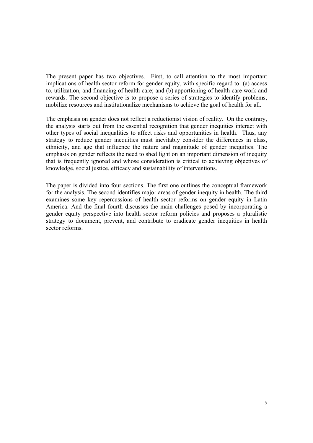The present paper has two objectives. First, to call attention to the most important implications of health sector reform for gender equity, with specific regard to: (a) access to, utilization, and financing of health care; and (b) apportioning of health care work and rewards. The second objective is to propose a series of strategies to identify problems, mobilize resources and institutionalize mechanisms to achieve the goal of health for all.

The emphasis on gender does not reflect a reductionist vision of reality. On the contrary, the analysis starts out from the essential recognition that gender inequities interact with other types of social inequalities to affect risks and opportunities in health. Thus, any strategy to reduce gender inequities must inevitably consider the differences in class, ethnicity, and age that influence the nature and magnitude of gender inequities. The emphasis on gender reflects the need to shed light on an important dimension of inequity that is frequently ignored and whose consideration is critical to achieving objectives of knowledge, social justice, efficacy and sustainability of interventions.

The paper is divided into four sections. The first one outlines the conceptual framework for the analysis. The second identifies major areas of gender inequity in health. The third examines some key repercussions of health sector reforms on gender equity in Latin America. And the final fourth discusses the main challenges posed by incorporating a gender equity perspective into health sector reform policies and proposes a pluralistic strategy to document, prevent, and contribute to eradicate gender inequities in health sector reforms.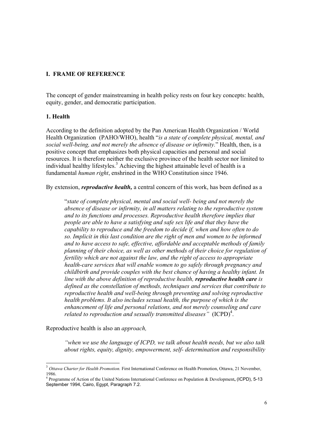#### **I. FRAME OF REFERENCE**

The concept of gender mainstreaming in health policy rests on four key concepts: health, equity, gender, and democratic participation.

#### **1. Health**

According to the definition adopted by the Pan American Health Organization / World Health Organization (PAHO/WHO), health "*is a state of complete physical, mental, and social well-being, and not merely the absence of disease or infirmity.*" Health, then, is a positive concept that emphasizes both physical capacities and personal and social resources. It is therefore neither the exclusive province of the health sector nor limited to individual healthy lifestyles.<sup>3</sup> Achieving the highest attainable level of health is a fundamental *human right*, enshrined in the WHO Constitution since 1946.

By extension, *reproductive health,* a central concern of this work, has been defined as a

"*state of complete physical, mental and social well- being and not merely the absence of disease or infirmity, in all matters relating to the reproductive system and to its functions and processes. Reproductive health therefore implies that people are able to have a satisfying and safe sex life and that they have the capability to reproduce and the freedom to decide if, when and how often to do so. Implicit in this last condition are the right of men and women to be informed and to have access to safe, effective, affordable and acceptable methods of family planning of their choice, as well as other methods of their choice for regulation of fertility which are not against the law, and the right of access to appropriate health-care services that will enable women to go safely through pregnancy and childbirth and provide couples with the best chance of having a healthy infant. In line with the above definition of reproductive health, reproductive health care is defined as the constellation of methods, techniques and services that contribute to reproductive health and well-being through preventing and solving reproductive health problems. It also includes sexual health, the purpose of which is the enhancement of life and personal relations, and not merely counseling and care*  related to reproduction and sexually transmitted diseases" (ICPD)<sup>4</sup>.

Reproductive health is also an *approach,* 

l

*"when we use the language of ICPD, we talk about health needs, but we also talk about rights, equity, dignity, empowerment, self- determination and responsibility* 

<sup>3</sup> *Ottawa Charter for Health Promotion.* First International Conference on Health Promotion, Ottawa, 21 November, 1986. 4 Programme of Action of the United Nations International Conference on Population & Development**,** (ICPD), 5-13

September 1994, Cairo, Egypt, Paragraph 7.2.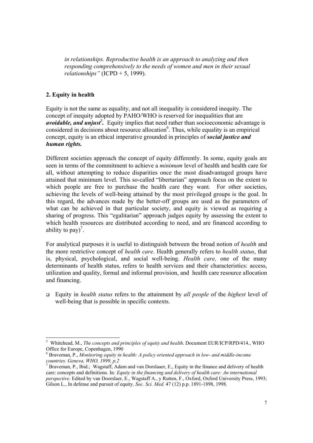*in relationships. Reproductive health is an approach to analyzing and then responding comprehensively to the needs of women and men in their sexual relationships"* (ICPD + 5, 1999).

# **2. Equity in health**

Equity is not the same as equality, and not all inequality is considered inequity. The concept of inequity adopted by PAHO/WHO is reserved for inequalities that are *avoidable, and unjust*<sup>5</sup>. Equity implies that need rather than socioeconomic advantage is considered in decisions about resource allocation<sup>6</sup>. Thus, while equality is an empirical concept, equity is an ethical imperative grounded in principles of *social justice and human rights.* 

Different societies approach the concept of equity differently. In some, equity goals are seen in terms of the commitment to achieve a *minimum* level of health and health care for all, without attempting to reduce disparities once the most disadvantaged groups have attained that minimum level. This so-called "libertarian" approach focus on the extent to which people are free to purchase the health care they want. For other societies, achieving the levels of well-being attained by the most privileged groups is the goal. In this regard, the advances made by the better-off groups are used as the parameters of what can be achieved in that particular society, and equity is viewed as requiring a sharing of progress. This "egalitarian" approach judges equity by assessing the extent to which health resources are distributed according to need, and are financed according to ability to pay)<sup>7</sup>.

For analytical purposes it is useful to distinguish between the broad notion of *health* and the more restrictive concept of *health care*. Health generally refers to *health status*, that is, physical, psychological, and social well-being. *Health care,* one of the many determinants of health status, refers to health services and their characteristics: access, utilization and quality, formal and informal provision, and health care resource allocation and financing.

 Equity in *health status* refers to the attainment by *all people* of the *highest* level of well-being that is possible in specific contexts.

 5 Whitehead, M., *The concepts and principles of equity and health*. Document EUR/ICP/RPD/414., WHO Office for Europe, Copenhagen, 1990

<sup>6</sup> Braveman, P., *Monitoring equity in health: A policy oriented approach in low- and middle-income countries. Geneva, WHO, 1999, p.2* 

<sup>&</sup>lt;sup>7</sup> Braveman, P., Ibid.; Wagstaff, Adam and van Dorslaaer, E., Equity in the finance and delivery of health care: concepts and definitions*.* In*: Equity in the financing and delivery of health care: An international perspective.* Edited by van Doorslaer, E., Wagstaff A., y Rutten, F., Oxford, Oxford University Press, 1993; Gilson L., In defense and pursuit of equity. *Soc. Sci. Med.* 47 (12) p.p. 1891-1898, 1998.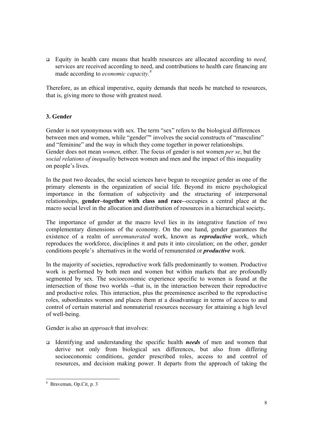Equity in health care means that health resources are allocated according to *need,* services are received according to need, and contributions to health care financing are made according to *economic capacity.<sup>8</sup>*

Therefore, as an ethical imperative, equity demands that needs be matched to resources, that is, giving more to those with greatest need.

# **3. Gender**

Gender is not synonymous with sex. The term "sex" refers to the biological differences between men and women, while "gender"" involves the social constructs of "masculine" and "feminine" and the way in which they come together in power relationships. Gender does not mean *women*, either. The focus of gender is not women *per se*, but the *social relations of inequality* between women and men and the impact of this inequality on people's lives.

In the past two decades, the social sciences have begun to recognize gender as one of the primary elements in the organization of social life. Beyond its micro psychological importance in the formation of subjectivity and the structuring of interpersonal relationships, **gender–together with class and race**--occupies a central place at the macro social level in the allocation and distribution of resources in a hierarchical society**.** 

The importance of gender at the macro level lies in its integrative function of two complementary dimensions of the economy. On the one hand, gender guarantees the existence of a realm of *unremunerated* work, known as *reproductive* work, which reproduces the workforce, disciplines it and puts it into circulation; on the other, gender conditions people's alternatives in the world of remunerated or *productive* work.

In the majority of societies, reproductive work falls predominantly to women. Productive work is performed by both men and women but within markets that are profoundly segmented by sex. The socioeconomic experience specific to women is found at the intersection of those two worlds --that is, in the interaction between their reproductive and productive roles. This interaction, plus the preeminence ascribed to the reproductive roles, subordinates women and places them at a disadvantage in terms of access to and control of certain material and nonmaterial resources necessary for attaining a high level of well-being.

Gender is also an *approach* that involves:

 Identifying and understanding the specific health *needs* of men and women that derive not only from biological sex differences, but also from differing socioeconomic conditions, gender prescribed roles, access to and control of resources, and decision making power. It departs from the approach of taking the

 $\overline{a}$ 8 Braveman, Op.Cit, p. 3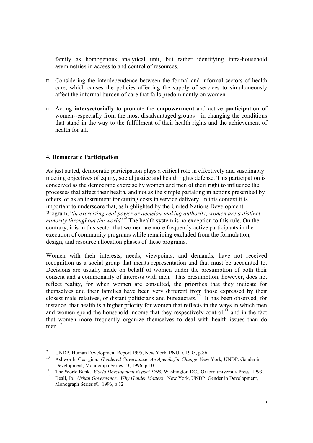family as homogenous analytical unit, but rather identifying intra-household asymmetries in access to and control of resources.

- Considering the interdependence between the formal and informal sectors of health care, which causes the policies affecting the supply of services to simultaneously affect the informal burden of care that falls predominantly on women.
- Acting **intersectorially** to promote the **empowerment** and active **participation** of women--especially from the most disadvantaged groups—in changing the conditions that stand in the way to the fulfillment of their health rights and the achievement of health for all.

#### **4. Democratic Participation**

As just stated, democratic participation plays a critical role in effectively and sustainably meeting objectives of equity, social justice and health rights defense. This participation is conceived as the democratic exercise by women and men of their right to influence the processes that affect their health, and not as the simple partaking in actions prescribed by others, or as an instrument for cutting costs in service delivery. In this context it is important to underscore that, as highlighted by the United Nations Development Program, "*in exercising real power or decision-making authority, women are a distinct*  minority throughout the world.<sup>"9</sup> The health system is no exception to this rule. On the contrary, it is in this sector that women are more frequently active participants in the execution of community programs while remaining excluded from the formulation, design, and resource allocation phases of these programs.

Women with their interests, needs, viewpoints, and demands, have not received recognition as a social group that merits representation and that must be accounted to. Decisions are usually made on behalf of women under the presumption of both their consent and a commonality of interests with men. This presumption, however, does not reflect reality, for when women are consulted, the priorities that they indicate for themselves and their families have been very different from those expressed by their closest male relatives, or distant politicians and bureaucrats.10 It has been observed, for instance, that health is a higher priority for women that reflects in the ways in which men and women spend the household income that they respectively control,  $\frac{1}{1}$  and in the fact that women more frequently organize themselves to deal with health issues than do men. 12

 9 <sup>9</sup> UNDP, Human Development Report 1995, New York, PNUD, 1995, p.86.

<sup>10</sup> Ashworth, Georgina. *Gendered Governance: An Agenda for Change*. New York, UNDP. Gender in Development, Monograph Series #3, 1996, p.10.

<sup>11</sup> The World Bank. *World Development Report 1993*, Washington DC., Oxford university Press, 1993.<br>
22 Development Report Development Report July 2003, Washington DC., Oxford university Press, 1993.

<sup>12</sup> Beall, Jo. *Urban Governance. Why Gender Matters*. New York, UNDP. Gender in Development, Monograph Series #1, 1996, p.12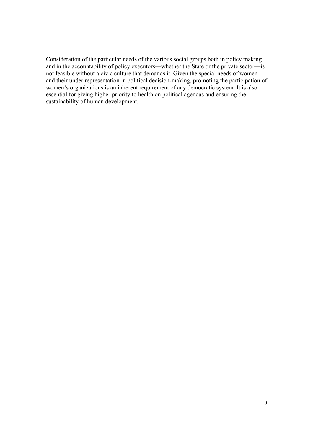Consideration of the particular needs of the various social groups both in policy making and in the accountability of policy executors—whether the State or the private sector—is not feasible without a civic culture that demands it. Given the special needs of women and their under representation in political decision-making, promoting the participation of women's organizations is an inherent requirement of any democratic system. It is also essential for giving higher priority to health on political agendas and ensuring the sustainability of human development.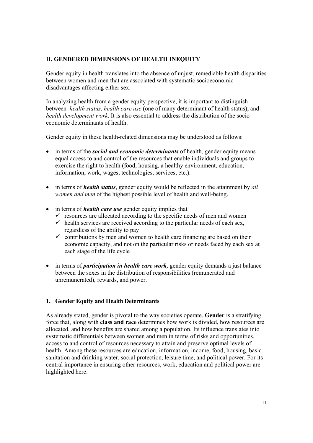# **II. GENDERED DIMENSIONS OF HEALTH INEQUITY**

Gender equity in health translates into the absence of unjust, remediable health disparities between women and men that are associated with systematic socioeconomic disadvantages affecting either sex.

In analyzing health from a gender equity perspective, it is important to distinguish between *health status, health care use* (one of many determinant of health status), and *health development work*. It is also essential to address the distribution of the socio economic determinants of health.

Gender equity in these health-related dimensions may be understood as follows:

- in terms of the *social and economic determinants* of health, gender equity means equal access to and control of the resources that enable individuals and groups to exercise the right to health (food, housing, a healthy environment, education, information, work, wages, technologies, services, etc.).
- in terms of *health status*, gender equity would be reflected in the attainment by *all women and men* of the highest possible level of health and well-being.
- in terms of *health care use* gender equity implies that
	- $\checkmark$  resources are allocated according to the specific needs of men and women
	- $\checkmark$  health services are received according to the particular needs of each sex, regardless of the ability to pay
	- $\checkmark$  contributions by men and women to health care financing are based on their economic capacity, and not on the particular risks or needs faced by each sex at each stage of the life cycle
- in terms of *participation in health care work,* gender equity demands a just balance between the sexes in the distribution of responsibilities (remunerated and unremunerated), rewards, and power.

#### **1. Gender Equity and Health Determinants**

As already stated, gender is pivotal to the way societies operate. **Gender** is a stratifying force that, along with **class and race** determines how work is divided, how resources are allocated, and how benefits are shared among a population. Its influence translates into systematic differentials between women and men in terms of risks and opportunities, access to and control of resources necessary to attain and preserve optimal levels of health. Among these resources are education, information, income, food, housing, basic sanitation and drinking water, social protection, leisure time, and political power. For its central importance in ensuring other resources, work, education and political power are highlighted here.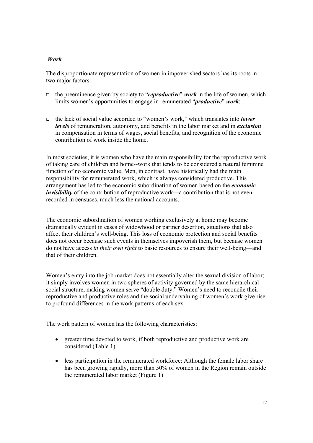# *Work*

The disproportionate representation of women in impoverished sectors has its roots in two major factors:

- the preeminence given by society to "*reproductive*" *work* in the life of women, which limits women's opportunities to engage in remunerated "*productive*" *work*;
- the lack of social value accorded to "women's work," which translates into *lower levels* of remuneration, autonomy, and benefits in the labor market and in *exclusion* in compensation in terms of wages, social benefits, and recognition of the economic contribution of work inside the home.

In most societies, it is women who have the main responsibility for the reproductive work of taking care of children and home--work that tends to be considered a natural feminine function of no economic value. Men, in contrast, have historically had the main responsibility for remunerated work, which is always considered productive. This arrangement has led to the economic subordination of women based on the *economic invisibility* of the contribution of reproductive work—a contribution that is not even recorded in censuses, much less the national accounts.

The economic subordination of women working exclusively at home may become dramatically evident in cases of widowhood or partner desertion, situations that also affect their children's well-being. This loss of economic protection and social benefits does not occur because such events in themselves impoverish them, but because women do not have access *in their own right* to basic resources to ensure their well-being—and that of their children.

Women's entry into the job market does not essentially alter the sexual division of labor; it simply involves women in two spheres of activity governed by the same hierarchical social structure, making women serve "double duty." Women's need to reconcile their reproductive and productive roles and the social undervaluing of women's work give rise to profound differences in the work patterns of each sex.

The work pattern of women has the following characteristics:

- greater time devoted to work, if both reproductive and productive work are considered (Table 1)
- less participation in the remunerated workforce: Although the female labor share has been growing rapidly, more than 50% of women in the Region remain outside the remunerated labor market (Figure 1)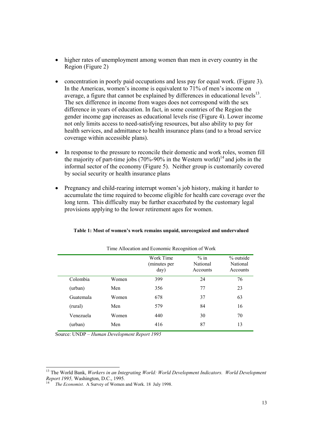- higher rates of unemployment among women than men in every country in the Region (Figure 2)
- concentration in poorly paid occupations and less pay for equal work. (Figure 3). In the Americas, women's income is equivalent to 71% of men's income on average, a figure that cannot be explained by differences in educational levels $^{13}$ . The sex difference in income from wages does not correspond with the sex difference in years of education. In fact, in some countries of the Region the gender income gap increases as educational levels rise (Figure 4). Lower income not only limits access to need-satisfying resources, but also ability to pay for health services, and admittance to health insurance plans (and to a broad service coverage within accessible plans).
- In response to the pressure to reconcile their domestic and work roles, women fill the majority of part-time jobs (70%-90% in the Western world)<sup>14</sup> and jobs in the informal sector of the economy (Figure 5). Neither group is customarily covered by social security or health insurance plans
- Pregnancy and child-rearing interrupt women's job history, making it harder to accumulate the time required to become eligible for health care coverage over the long term. This difficulty may be further exacerbated by the customary legal provisions applying to the lower retirement ages for women.

| Time Allocation and Economic Recognition of Work |       |                                   |                                 |                                   |  |  |  |  |  |
|--------------------------------------------------|-------|-----------------------------------|---------------------------------|-----------------------------------|--|--|--|--|--|
|                                                  |       | Work Time<br>(minutes per<br>day) | $\%$ in<br>National<br>Accounts | % outside<br>National<br>Accounts |  |  |  |  |  |
| Colombia                                         | Women | 399                               | 24                              | 76                                |  |  |  |  |  |
| (urban)                                          | Men   | 356                               | 77                              | 23                                |  |  |  |  |  |
| Guatemala                                        | Women | 678                               | 37                              | 63                                |  |  |  |  |  |
| (rural)                                          | Men   | 579                               | 84                              | 16                                |  |  |  |  |  |
| Venezuela                                        | Women | 440                               | 30                              | 70                                |  |  |  |  |  |
| (urban)                                          | Men   | 416                               | 87                              | 13                                |  |  |  |  |  |

#### **Table 1: Most of women's work remains unpaid, unrecognized and undervalued**

Source: UNDP – *Human Development Report 1995*

 $\overline{a}$ 

<sup>13</sup> The World Bank, *Workers in an Integrating World: World Development Indicators. World Development Report 1995,* Washington, D.C., 1995*.* <sup>14</sup> *The Economist*. A Survey of Women and Work. 18 July 1998.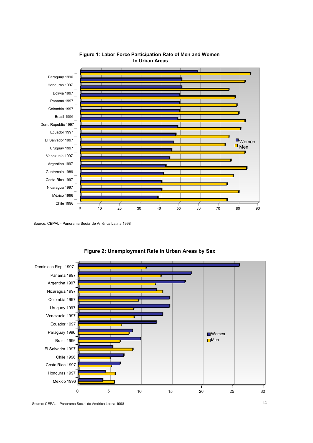

**Figure 1: Labor Force Participation Rate of Men and Women In Urban Areas** 

Source: CEPAL - Panorama Social de América Latina 1998



**Figure 2: Unemployment Rate in Urban Areas by Sex**

Source: CEPAL - Panorama Social de América Latina 1998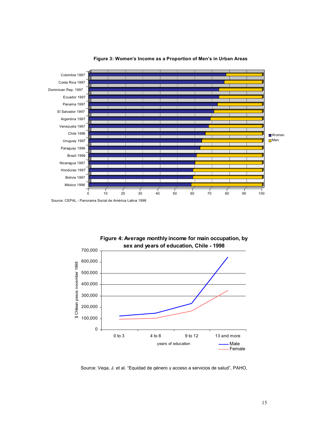

**Figure 3: Women's Income as a Proportion of Men's in Urban Areas**

Source: CEPAL - Panorama Social de América Latina 1998



**Figure 4: Average monthly income for main occupation, by** 

Source: Vega, J. et al. "Equidad de género y acceso a servicios de salud", PAHO,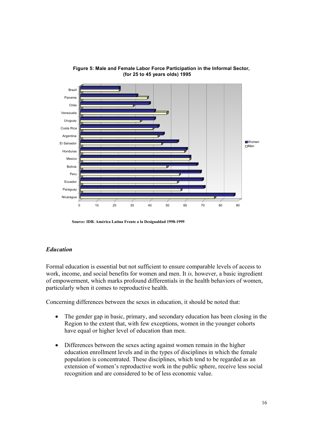

**Figure 5: Male and Female Labor Force Participation in the Informal Sector, (for 25 to 45 years olds) 1995**

**Source: IDB. América Latina Frente a la Desigualdad 1998-1999**

# *Education*

Formal education is essential but not sufficient to ensure comparable levels of access to work, income, and social benefits for women and men. It *is,* however, a basic ingredient of empowerment, which marks profound differentials in the health behaviors of women, particularly when it comes to reproductive health.

Concerning differences between the sexes in education, it should be noted that:

- The gender gap in basic, primary, and secondary education has been closing in the Region to the extent that, with few exceptions, women in the younger cohorts have equal or higher level of education than men.
- Differences between the sexes acting against women remain in the higher education enrollment levels and in the types of disciplines in which the female population is concentrated. These disciplines, which tend to be regarded as an extension of women's reproductive work in the public sphere, receive less social recognition and are considered to be of less economic value.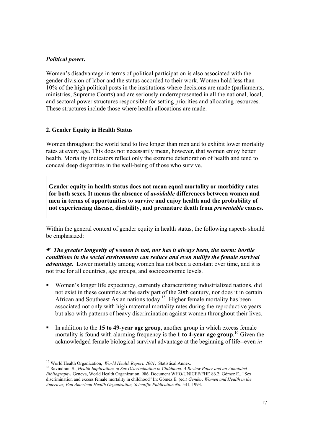# *Political power.*

Women's disadvantage in terms of political participation is also associated with the gender division of labor and the status accorded to their work. Women hold less than 10% of the high political posts in the institutions where decisions are made (parliaments, ministries, Supreme Courts) and are seriously underrepresented in all the national, local, and sectoral power structures responsible for setting priorities and allocating resources. These structures include those where health allocations are made.

#### **2. Gender Equity in Health Status**

Women throughout the world tend to live longer than men and to exhibit lower mortality rates at every age. This does not necessarily mean, however, that women enjoy better health. Mortality indicators reflect only the extreme deterioration of health and tend to conceal deep disparities in the well-being of those who survive.

**Gender equity in health status does not mean equal mortality or morbidity rates for both sexes. It means the absence of** *avoidable* **differences between women and men in terms of opportunities to survive and enjoy health and the probability of not experiencing disease, disability, and premature death from** *preventable* **causes.** 

Within the general context of gender equity in health status, the following aspects should be emphasized:

( *The greater longevity of women is not, nor has it always been, the norm: hostile conditions in the social environment can reduce and even nullify the female survival advantage.* Lower mortality among women has not been a constant over time, and it is not true for all countries, age groups, and socioeconomic levels.

- Women's longer life expectancy, currently characterizing industrialized nations, did not exist in these countries at the early part of the 20th century, nor does it in certain African and Southeast Asian nations today.<sup>15</sup> Higher female mortality has been associated not only with high maternal mortality rates during the reproductive years but also with patterns of heavy discrimination against women throughout their lives.
- In addition to the **15 to 49-year age group**, another group in which excess female mortality is found with alarming frequency is the **1 to 4-year age group**. 16 Given the acknowledged female biological survival advantage at the beginning of life--even *in*

<sup>&</sup>lt;sup>15</sup> World Health Organization, *World Health Report*, 2001, Statistical Annex.

<sup>&</sup>lt;sup>16</sup> Ravindran, S., *Health Implications of Sex Discrimination in Childhood. A Review Paper and an Annotated Bibliography.* Geneva, World Health Organization, 986. Document WHO/UNICEF/FHE 86.2; Gómez E., "Sex discrimination and excess female mortality in childhood" In: Gómez E. (ed.) *Gender, Women and Health in the Americas, Pan American Health Organization, Scientific Publication No.* 541, 1993.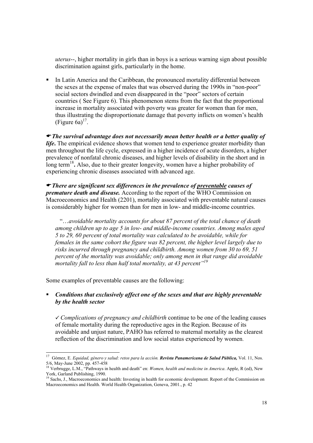*uterus*--, higher mortality in girls than in boys is a serious warning sign about possible discrimination against girls, particularly in the home.

In Latin America and the Caribbean, the pronounced mortality differential between the sexes at the expense of males that was observed during the 1990s in "non-poor" social sectors dwindled and even disappeared in the "poor" sectors of certain countries ( See Figure 6). This phenomenon stems from the fact that the proportional increase in mortality associated with poverty was greater for women than for men, thus illustrating the disproportionate damage that poverty inflicts on women's health (Figure  $6a$ )<sup>17</sup>.

(*The survival advantage does not necessarily mean better health or a better quality of life***.** The empirical evidence shows that women tend to experience greater morbidity than men throughout the life cycle, expressed in a higher incidence of acute disorders, a higher prevalence of nonfatal chronic diseases, and higher levels of disability in the short and in long term<sup>18</sup>. Also, due to their greater longevity, women have a higher probability of experiencing chronic diseases associated with advanced age.

(*There are significant sex differences in the prevalence of preventable causes of premature death and disease.* According to the report of the WHO Commission on Macroeconomics and Health (2201), mortality associated with preventable natural causes is considerably higher for women than for men in low- and middle-income countries.

 "…*avoidable mortality accounts for about 87 percent of the total chance of death among children up to age 5 in low- and middle-income countries. Among males aged 5 to 29, 60 percent of total mortality was calculated to be avoidable, while for females in the same cohort the figure was 82 percent, the higher level largely due to risks incurred through pregnancy and childbirth. Among women from 30 to 69, 51 percent of the mortality was avoidable; only among men in that range did avoidable mortality fall to less than half total mortality, at 43 percent"19*

Some examples of preventable causes are the following:

l

 *Conditions that exclusively affect one of the sexes and that are highly preventable by the health sector* 

3 *Complications of pregnancy and childbirth* continue to be one of the leading causes of female mortality during the reproductive ages in the Region. Because of its avoidable and unjust nature, PAHO has referred to maternal mortality as the clearest reflection of the discrimination and low social status experienced by women.

<sup>17</sup> Gómez, E. *Equidad, género y salud: retos para la acción. Revista Panamericana de Salud Pública,* Vol. 11, Nos. 5/6, May-June 2002, pp. 457-458

<sup>18</sup> Verbrugge, L.M., "Pathways in health and death" en: *Women, health and medicine in America*. Apple, R (ed), New York, Garland Publishing, 1990.

<sup>&</sup>lt;sup>19</sup> Sachs, J., Macroeconomics and health: Investing in health for economic development. Report of the Commission on Macroeconomics and Health. World Health Organization, Geneva, 2001., p. 42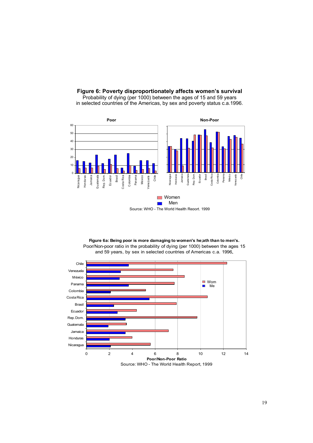**Figure 6: Poverty disproportionately affects women's survival** 



Probability of dying (per 1000) between the ages of 15 and 59 years in selected countries of the Americas, by sex and poverty status c.a.1996.

**Figure 6a: Being poor is more damaging to women's he;ath than to men's.**  Poor/Non-poor ratio in the probability of dying (per 1000) between the ages 15 and 59 years, by sex in selected countries of Americas c.a. 1996**.**

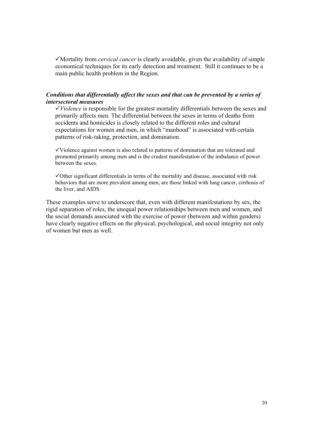$\checkmark$  Mortality from *cervical cancer* is clearly avoidable, given the availability of simple economical techniques for its early detection and treatment. Still it continues to be a main public health problem in the Region.

#### *Conditions that differentially affect the sexes and that can be prevented by a series of intersectoral measures*

 $\checkmark$  *Violence* is responsible for the greatest mortality differentials between the sexes and primarily affects men. The differential between the sexes in terms of deaths from accidents and homicides is closely related to the different roles and cultural expectations for women and men, in which "manhood" is associated with certain patterns of risk-taking, protection, and domination.

 $\checkmark$  Violence against women is also related to patterns of domination that are tolerated and promoted primarily among men and is the crudest manifestation of the imbalance of power between the sexes.

 $\checkmark$  Other significant differentials in terms of the mortality and disease, associated with risk behaviors that are more prevalent among men, are those linked with lung cancer, cirrhosis of the liver, and AIDS.

These examples serve to underscore that, even with different manifestations by sex, the rigid separation of roles, the unequal power relationships between men and women, and the social demands associated with the exercise of power (between and within genders) have clearly negative effects on the physical, psychological, and social integrity not only of women but men as well.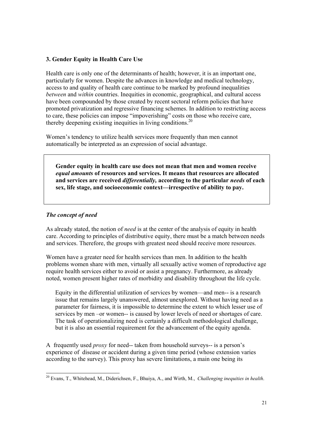### **3. Gender Equity in Health Care Use**

Health care is only one of the determinants of health; however, it is an important one, particularly for women. Despite the advances in knowledge and medical technology, access to and quality of health care continue to be marked by profound inequalities *between* and *within* countries. Inequities in economic, geographical, and cultural access have been compounded by those created by recent sectoral reform policies that have promoted privatization and regressive financing schemes. In addition to restricting access to care, these policies can impose "impoverishing" costs on those who receive care, thereby deepening existing inequities in living conditions.<sup>20</sup>

Women's tendency to utilize health services more frequently than men cannot automatically be interpreted as an expression of social advantage.

**Gender equity in health care use does not mean that men and women receive**  *equal amounts* **of resources and services. It means that resources are allocated and services are received** *differentially,* **according to the particular** *needs* **of each sex, life stage, and socioeconomic context—irrespective of ability to pay.** 

#### *The concept of need*

 $\overline{a}$ 

As already stated, the notion of *need* is at the center of the analysis of equity in health care. According to principles of distributive equity, there must be a match between needs and services. Therefore, the groups with greatest need should receive more resources.

Women have a greater need for health services than men. In addition to the health problems women share with men, virtually all sexually active women of reproductive age require health services either to avoid or assist a pregnancy. Furthermore, as already noted, women present higher rates of morbidity and disability throughout the life cycle.

Equity in the differential utilization of services by women—and men-- is a research issue that remains largely unanswered, almost unexplored. Without having need as a parameter for fairness, it is impossible to determine the extent to which lesser use of services by men –or women-- is caused by lower levels of need or shortages of care. The task of operationalizing need is certainly a difficult methodological challenge, but it is also an essential requirement for the advancement of the equity agenda.

A frequently used *proxy* for need-- taken from household surveys-- is a person's experience of disease or accident during a given time period (whose extension varies according to the survey). This proxy has severe limitations, a main one being its

<sup>20</sup> Evans, T., Whitehead, M., Diderichsen, F., Bhuiya, A., and Wirth, M., *Challenging inequities in health*.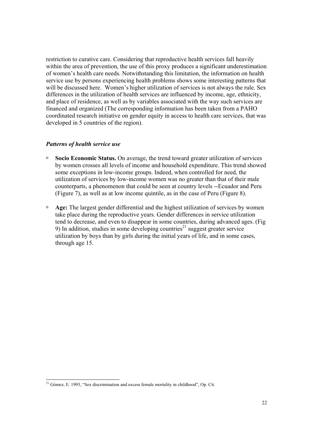restriction to curative care. Considering that reproductive health services fall heavily within the area of prevention, the use of this proxy produces a significant underestimation of women's health care needs. Notwithstanding this limitation, the information on health service use by persons experiencing health problems shows some interesting patterns that will be discussed here. Women's higher utilization of services is not always the rule. Sex differences in the utilization of health services are influenced by income, age, ethnicity, and place of residence, as well as by variables associated with the way such services are financed and organized (The corresponding information has been taken from a PAHO coordinated research initiative on gender equity in access to health care services, that was developed in 5 countries of the region).

#### *Patterns of health service use*

 $\overline{a}$ 

- □ **Socio Economic Status.** On average, the trend toward greater utilization of services by women crosses all levels of income and household expenditure. This trend showed some exceptions in low-income groups. Indeed, when controlled for need, the utilization of services by low-income women was no greater than that of their male counterparts, a phenomenon that could be seen at country levels --Ecuador and Peru (Figure 7), as well as at low income quintile, as in the case of Peru (Figure 8).
- à **Age:** The largest gender differential and the highest utilization of services by women take place during the reproductive years. Gender differences in service utilization tend to decrease, and even to disappear in some countries, during advanced ages. (Fig 9) In addition, studies in some developing countries<sup>21</sup> suggest greater service utilization by boys than by girls during the initial years of life, and in some cases, through age 15.

 $21$  Gómez, E. 1993, "Sex discrimination and excess female mortality in childhood", Op. Cit.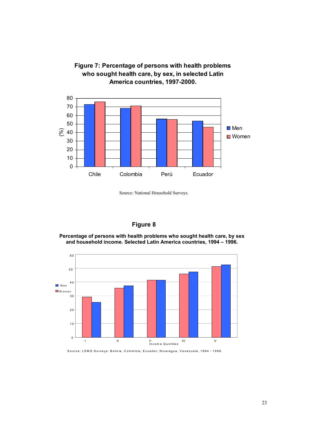

Source: National Household Surveys.



**Percentage of persons with health problems who sought health care, by sex and household income. Selected Latin America countries, 1994 – 1996.** 



S ource: LS M S S urveys: B olivia, C olom bia, E cuador, N icaragua, V enezuela, 1994 - 1996 .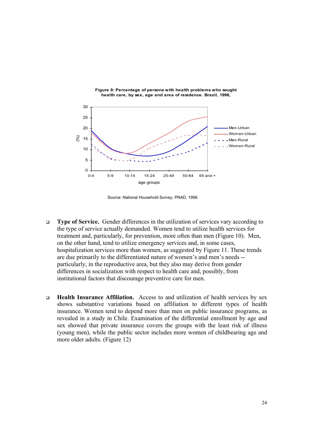

**Figure 9: Percentage of persons with health problems who sought health care, by sex, age and area of residence. Brazil, 1998,**

Source: National Household Survey, PNAD, 1998.

- **Type of Service.** Gender differences in the utilization of services vary according to the type of service actually demanded. Women tend to utilize health services for treatment and, particularly, for prevention, more often than men (Figure 10). Men, on the other hand, tend to utilize emergency services and, in some cases, hospitalization services more than women, as suggested by Figure 11. These trends are due primarily to the differentiated nature of women's and men's needs - particularly, in the reproductive area, but they also may derive from gender differences in socialization with respect to health care and, possibly, from institutional factors that discourage preventive care for men.
- **Health Insurance Affiliation.** Access to and utilization of health services by sex shows substantive variations based on affiliation to different types of health insurance. Women tend to depend more than men on public insurance programs, as revealed in a study in Chile. Examination of the differential enrollment by age and sex showed that private insurance covers the groups with the least risk of illness (young men), while the public sector includes more women of childbearing age and more older adults. (Figure 12)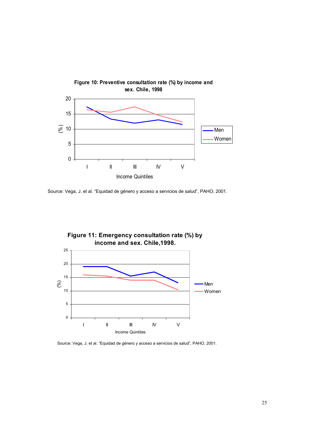

Source: Vega, J. et al. "Equidad de género y acceso a servicios de salud", PAHO, 2001.



Source: Vega, J. et al. "Equidad de género y acceso a servicios de salud", PAHO, 2001.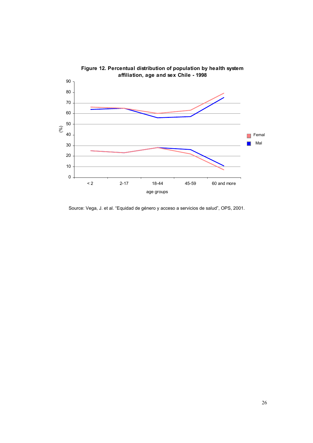

Source: Vega, J. et al. "Equidad de género y acceso a servicios de salud", OPS, 2001.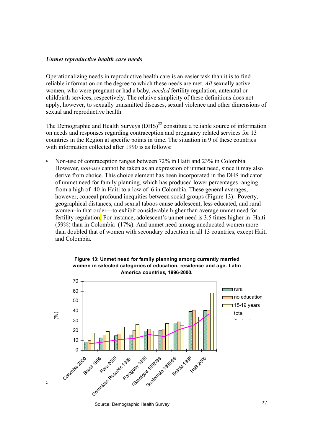#### *Unmet reproductive health care needs*

Operationalizing needs in reproductive health care is an easier task than it is to find reliable information on the degree to which these needs are met. *All* sexually active women, who were pregnant or had a baby, *needed* fertility regulation, antenatal or childbirth services, respectively. The relative simplicity of these definitions does not apply, however, to sexually transmitted diseases, sexual violence and other dimensions of sexual and reproductive health.

The Demographic and Health Surveys  $(DHS)^{22}$  constitute a reliable source of information on needs and responses regarding contraception and pregnancy related services for 13 countries in the Region at specific points in time. The situation in 9 of these countries with information collected after 1990 is as follows:

à Non-use of contraception ranges between 72% in Haiti and 23% in Colombia. However, *non-use* cannot be taken as an expression of unmet need, since it may also derive from choice. This choice element has been incorporated in the DHS indicator of unmet need for family planning, which has produced lower percentages ranging from a high of 40 in Haiti to a low of 6 in Colombia. These general averages, however, conceal profound inequities between social groups (Figure 13). Poverty, geographical distances, and sexual taboos cause adolescent, less educated, and rural women–in that order—to exhibit considerable higher than average unmet need for fertility regulation. For instance, adolescent's unmet need is 3.5 times higher in Haiti (59%) than in Colombia (17%). And unmet need among uneducated women more than doubled that of women with secondary education in all 13 countries, except Haiti and Colombia.



**Figure 13: Unmet need for family planning among currently married women in selected categories of education, residence and age. Latin America countries, 1996-2000.**

Source: Demographic Health Survey

 $\overline{a}$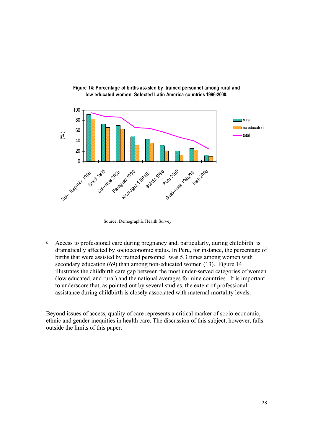

**Figure 14: Porcentage of births assisted by trained personnel among rural and low educated women. Selected Latin America countries 1996-2000.**

Source: Demographic Health Survey

<sup> $\Box$ </sup> Access to professional care during pregnancy and, particularly, during childbirth is dramatically affected by socioeconomic status. In Peru, for instance, the percentage of births that were assisted by trained personnel was 5.3 times among women with secondary education (69) than among non-educated women (13).. Figure 14 illustrates the childbirth care gap between the most under-served categories of women (low educated, and rural) and the national averages for nine countries.. It is important to underscore that, as pointed out by several studies, the extent of professional assistance during childbirth is closely associated with maternal mortality levels.

Beyond issues of access, quality of care represents a critical marker of socio-economic, ethnic and gender inequities in health care. The discussion of this subject, however, falls outside the limits of this paper.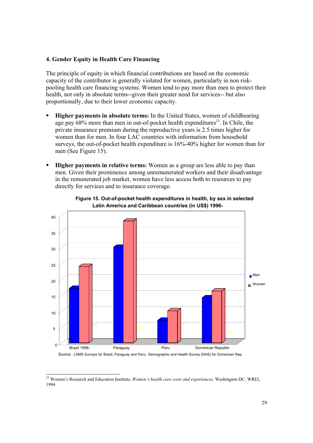#### **4. Gender Equity in Health Care Financing**

The principle of equity in which financial contributions are based on the economic capacity of the contributor is generally violated for women, particularly in non riskpooling health care financing systems. Women tend to pay more than men to protect their health, not only in absolute terms--given their greater need for services-- but also proportionally, due to their lower economic capacity.

- **Higher payments in absolute terms:** In the United States, women of childbearing age pay  $68\%$  more than men in out-of-pocket health expenditures<sup>23</sup>. In Chile, the private insurance premium during the reproductive years is 2.5 times higher for women than for men. In four LAC countries with information from household surveys, the out-of-pocket health expenditure is 16%-40% higher for women than for men (See Figure 15).
- **Higher payments in relative terms:** Women as a group are less able to pay than men. Given their prominence among unremunerated workers and their disadvantage in the remunerated job market, women have less access both to resources to pay directly for services and to insurance coverage.



**Figure 15. Out-of-pocket health expenditures in health, by sex in selected Latin America and Caribbean countries (in US\$) 1996-**

Source: LSMS Surveys for Brazil, Paraguay and Peru; Demographic and Health Survey (DHS) for Dominican Rep.

 $\overline{a}$ 

<sup>23</sup> Women's Research and Education Institute, *Women's health care costs and experiences,* Washington DC, WREI, 1994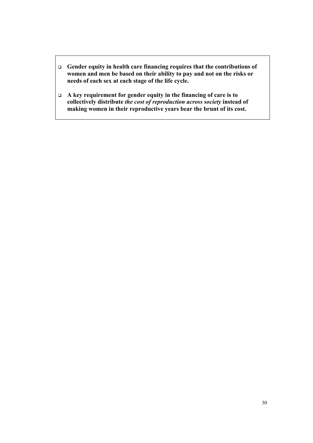- **Gender equity in health care financing requires that the contributions of women and men be based on their ability to pay and not on the risks or needs of each sex at each stage of the life cycle.**
- **A key requirement for gender equity in the financing of care is to collectively distribute** *the cost of reproduction across society* **instead of making women in their reproductive years bear the brunt of its cost.**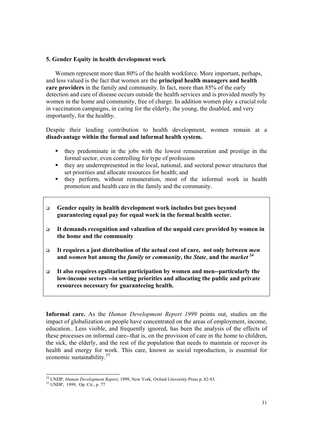#### **5. Gender Equity in health development work**

 Women represent more than 80% of the health workforce. More important, perhaps, and less valued is the fact that women are the **principal health managers and health care providers** in the family and community. In fact, more than 85% of the early detection and care of disease occurs outside the health services and is provided mostly by women in the home and community, free of charge. In addition women play a crucial role in vaccination campaigns, in caring for the elderly, the young, the disabled, and very importantly, for the healthy.

Despite their leading contribution to health development, women remain at a **disadvantage within the formal and informal health system.**

- they predominate in the jobs with the lowest remuneration and prestige in the formal sector, even controlling for type of profession
- they are underrepresented in the local, national, and sectoral power structures that set priorities and allocate resources for health; and
- they perform, without remuneration, most of the informal work in health promotion and health care in the family and the community.
- **Gender equity in health development work includes but goes beyond guaranteeing equal pay for equal work in the formal health sector.**
- **It demands recognition and valuation of the unpaid care provided by women in the home and the community**
- **It requires a just distribution of the actual cost of care, not only between** *men* **and** *women* **but among the** *family* **or** *community***, the** *State*, **and the** *market* **<sup>24</sup>**
- **It also requires egalitarian participation by women and men--particularly the low-income sectors --in setting priorities and allocating the public and private resources necessary for guaranteeing health.**

**Informal care.** As the *Human Development Report 1999* points out, studies on the impact of globalization on people have concentrated on the areas of employment, income, education.. Less visible, and frequently ignored, has been the analysis of the effects of these processes on informal care--that is, on the provision of care in the home to children, the sick, the elderly, and the rest of the population that needs to maintain or recover its health and energy for work. This care, known as social reproduction, is essential for economic sustainability.25

 $\overline{a}$ <sup>24</sup> UNDP, *Human Development Report*, 1999, New York, Oxford University Press p. 82-83.<br><sup>25</sup> UNDP, 1999, Op. Cit., p. 77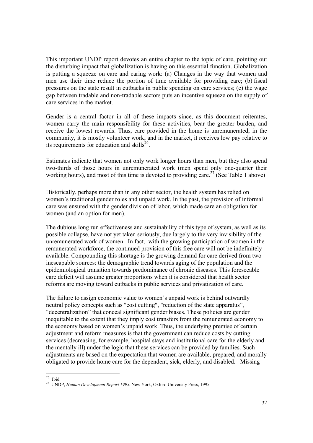This important UNDP report devotes an entire chapter to the topic of care, pointing out the disturbing impact that globalization is having on this essential function. Globalization is putting a squeeze on care and caring work: (a) Changes in the way that women and men use their time reduce the portion of time available for providing care; (b) fiscal pressures on the state result in cutbacks in public spending on care services; (c) the wage gap between tradable and non-tradable sectors puts an incentive squeeze on the supply of care services in the market.

Gender is a central factor in all of these impacts since, as this document reiterates, women carry the main responsibility for these activities, bear the greater burden, and receive the lowest rewards. Thus, care provided in the home is unremunerated; in the community, it is mostly volunteer work; and in the market, it receives low pay relative to its requirements for education and skills $^{26}$ .

Estimates indicate that women not only work longer hours than men, but they also spend two-thirds of those hours in unremunerated work (men spend only one-quarter their working hours), and most of this time is devoted to providing care.<sup>27</sup> (See Table 1 above)

Historically, perhaps more than in any other sector, the health system has relied on women's traditional gender roles and unpaid work. In the past, the provision of informal care was ensured with the gender division of labor, which made care an obligation for women (and an option for men).

The dubious long run effectiveness and sustainability of this type of system, as well as its possible collapse, have not yet taken seriously, due largely to the very invisibility of the unremunerated work of women. In fact, with the growing participation of women in the remunerated workforce, the continued provision of this free care will not be indefinitely available. Compounding this shortage is the growing demand for care derived from two inescapable sources: the demographic trend towards aging of the population and the epidemiological transition towards predominance of chronic diseases. This foreseeable care deficit will assume greater proportions when it is considered that health sector reforms are moving toward cutbacks in public services and privatization of care.

The failure to assign economic value to women's unpaid work is behind outwardly neutral policy concepts such as "cost cutting", "reduction of the state apparatus", "decentralization" that conceal significant gender biases. These policies are gender inequitable to the extent that they imply cost transfers from the remunerated economy to the economy based on women's unpaid work. Thus, the underlying premise of certain adjustment and reform measures is that the government can reduce costs by cutting services (decreasing, for example, hospital stays and institutional care for the elderly and the mentally ill) under the logic that these services can be provided by families. Such adjustments are based on the expectation that women are available, prepared, and morally obligated to provide home care for the dependent, sick, elderly, and disabled. Missing

 $26$  Ibid.

<sup>&</sup>lt;sup>27</sup> UNDP, *Human Development Report 1995*. New York, Oxford University Press, 1995.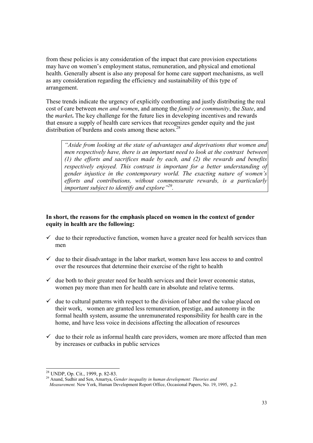from these policies is any consideration of the impact that care provision expectations may have on women's employment status, remuneration, and physical and emotional health. Generally absent is also any proposal for home care support mechanisms, as well as any consideration regarding the efficiency and sustainability of this type of arrangement.

These trends indicate the urgency of explicitly confronting and justly distributing the real cost of care between *men and women*, and among the *family or community*, the *State*, and the *market***.** The key challenge for the future lies in developing incentives and rewards that ensure a supply of health care services that recognizes gender equity and the just distribution of burdens and costs among these actors. $28$ 

*"Aside from looking at the state of advantages and deprivations that women and men respectively have, there is an important need to look at the contrast between (1) the efforts and sacrifices made by each, and (2) the rewards and benefits respectively enjoyed. This contrast is important for a better understanding of gender injustice in the contemporary world. The exacting nature of women's efforts and contributions, without commensurate rewards, is a particularly important subject to identify and explore"29.* 

## **In short, the reasons for the emphasis placed on women in the context of gender equity in health are the following:**

- $\checkmark$  due to their reproductive function, women have a greater need for health services than men
- $\checkmark$  due to their disadvantage in the labor market, women have less access to and control over the resources that determine their exercise of the right to health
- $\checkmark$  due both to their greater need for health services and their lower economic status, women pay more than men for health care in absolute and relative terms.
- $\checkmark$  due to cultural patterns with respect to the division of labor and the value placed on their work, women are granted less remuneration, prestige, and autonomy in the formal health system, assume the unremunerated responsibility for health care in the home, and have less voice in decisions affecting the allocation of resources
- $\checkmark$  due to their role as informal health care providers, women are more affected than men by increases or cutbacks in public services

 $\overline{a}$ 

<sup>28</sup> UNDP, Op. Cit., 1999, p. 82-83.

<sup>29</sup> Anand, Sudhir and Sen, Amartya, *Gender inequality in human development: Theories and* 

*Measurement.* New York, Human Development Report Office, Occasional Papers, No. 19, 1995, p.2.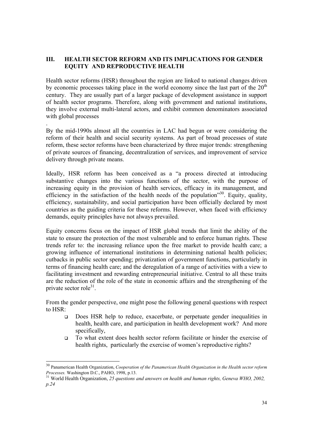# **III. HEALTH SECTOR REFORM AND ITS IMPLICATIONS FOR GENDER EQUITY AND REPRODUCTIVE HEALTH**

Health sector reforms (HSR) throughout the region are linked to national changes driven by economic processes taking place in the world economy since the last part of the  $20<sup>th</sup>$ century. They are usually part of a larger package of development assistance in support of health sector programs. Therefore, along with government and national institutions, they involve external multi-lateral actors, and exhibit common denominators associated with global processes

By the mid-1990s almost all the countries in LAC had begun or were considering the reform of their health and social security systems. As part of broad processes of state reform, these sector reforms have been characterized by three major trends: strengthening of private sources of financing, decentralization of services, and improvement of service delivery through private means.

.

l

Ideally, HSR reform has been conceived as a "a process directed at introducing substantive changes into the various functions of the sector, with the purpose of increasing equity in the provision of health services, efficacy in its management, and efficiency in the satisfaction of the health needs of the population<sup>330</sup>. Equity, quality, efficiency, sustainability, and social participation have been officially declared by most countries as the guiding criteria for these reforms. However, when faced with efficiency demands, equity principles have not always prevailed.

Equity concerns focus on the impact of HSR global trends that limit the ability of the state to ensure the protection of the most vulnerable and to enforce human rights. These trends refer to: the increasing reliance upon the free market to provide health care; a growing influence of international institutions in determining national health policies; cutbacks in public sector spending; privatization of government functions, particularly in terms of financing health care; and the deregulation of a range of activities with a view to facilitating investment and rewarding entrepreneurial initiative. Central to all these traits are the reduction of the role of the state in economic affairs and the strengthening of the private sector role $3<sup>1</sup>$ .

From the gender perspective, one might pose the following general questions with respect to HSR:

- Does HSR help to reduce, exacerbate, or perpetuate gender inequalities in health, health care, and participation in health development work? And more specifically,
- To what extent does health sector reform facilitate or hinder the exercise of health rights, particularly the exercise of women's reproductive rights?

<sup>30</sup> Panamerican Health Organization, *Cooperation of the Panamerican Health Organization in the Health sector reform* 

*Processes.* Washington D.C., PAHO, 1998, p.13.  $^{31}$  World Health Organization, 25 questions and answers on health and human rights, Geneva WHO, 2002, *p.24*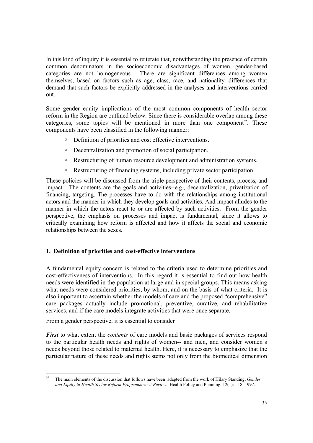In this kind of inquiry it is essential to reiterate that, notwithstanding the presence of certain common denominators in the socioeconomic disadvantages of women, gender-based categories are not homogeneous. There are significant differences among women themselves, based on factors such as age, class, race, and nationality--differences that demand that such factors be explicitly addressed in the analyses and interventions carried out.

Some gender equity implications of the most common components of health sector reform in the Region are outlined below. Since there is considerable overlap among these categories, some topics will be mentioned in more than one component<sup>32</sup>. These components have been classified in the following manner:

- à Definition of priorities and cost effective interventions.
- à Decentralization and promotion of social participation.
- à Restructuring of human resource development and administration systems.
- à Restructuring of financing systems, including private sector participation

These policies will be discussed from the triple perspective of their contents, process, and impact. The contents are the goals and activities--e.g., decentralization, privatization of financing, targeting. The processes have to do with the relationships among institutional actors and the manner in which they develop goals and activities. And impact alludes to the manner in which the actors react to or are affected by such activities. From the gender perspective, the emphasis on processes and impact is fundamental, since it allows to critically examining how reform is affected and how it affects the social and economic relationships between the sexes.

#### **1. Definition of priorities and cost-effective interventions**

A fundamental equity concern is related to the criteria used to determine priorities and cost-effectiveness of interventions. In this regard it is essential to find out how health needs were identified in the population at large and in special groups. This means asking what needs were considered priorities, by whom, and on the basis of what criteria. It is also important to ascertain whether the models of care and the proposed "comprehensive" care packages actually include promotional, preventive, curative, and rehabilitative services, and if the care models integrate activities that were once separate.

From a gender perspective, it is essential to consider

*First* to what extent the *contents* of care models and basic packages of services respond to the particular health needs and rights of women-- and men, and consider women's needs beyond those related to maternal health. Here, it is necessary to emphasize that the particular nature of these needs and rights stems not only from the biomedical dimension

 $32$ <sup>32</sup> The main elements of the discussion that follows have been adapted from the work of Hilary Standing, *Gender and Equity in Health Sector Reform Programmes: A Review*. Health Policy and Planning; 12(1):1-18, 1997.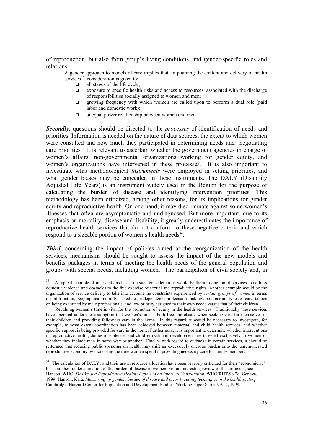of reproduction, but also from group's living conditions, and gender-specific roles and relations.

A gender approach to models of care implies that, in planning the content and delivery of health services<sup>33</sup>, consideration is given to:

- $\Box$  all stages of the life cycle;
- $\Box$  exposure to specific health risks and access to resources, associated with the discharge of responsibilities socially assigned to women and men;
- $\Box$  growing frequency with which women are called upon to perform a dual role (paid labor and domestic work);
- □ unequal power relationship between women and men.

*Secondly,* questions should be directed to the *processes* of identification of needs and priorities. Information is needed on the nature of data sources, the extent to which women were consulted and how much they participated in determining needs and negotiating care priorities. It is relevant to ascertain whether the government agencies in charge of women's affairs, non-governmental organizations working for gender equity, and women's organizations have intervened in these processes. It is also important to investigate what methodological *instruments* were employed in setting priorities, and what gender biases may be concealed in these instruments. The DALY (Disability Adjusted Life Years) is an instrument widely used in the Region for the purpose of calculating the burden of disease and identifying intervention priorities. This methodology has been criticized, among other reasons, for its implications for gender equity and reproductive health. On one hand, it may discriminate against some women's illnesses that often are asymptomatic and undiagnosed. But more important, due to its emphasis on mortality, disease and disability, it greatly underestimates the importance of reproductive health services that do not conform to these negative criteria and which respond to a sizeable portion of women's health needs<sup>34</sup>.

*Third,* concerning the impact of policies aimed at the reorganization of the health services, mechanisms should be sought to assess the impact of the new models and benefits packages in terms of meeting the health needs of the general population and groups with special needs, including women. The participation of civil society and, in

<sup>33</sup> 33 A typical example of interventions based on such considerations would be the introduction of services to address domestic violence and obstacles to the free exercise of sexual and reproductive rights. Another example would be the organization of service delivery to take into account the constraints experienced by *certain groups of women* in terms of: information, geographical mobility, schedules, independence in decision-making about certain types of care, taboos on being examined by male professionals, and low priority assigned to their own needs versus that of their children.

Revaluing women's time is vital for the promotion of equity in the health services. Traditionally these services have operated under the assumption that women's time is both free and elastic when seeking care for themselves or their children and providing follow-up care in the home. In this regard, it would be necessary to investigate, for example, to what extent coordination has been achieved between maternal and child health services, and whether specific support is being provided for care in the home. Furthermore, it is important to determine whether interventions in reproductive health, domestic violence, and child growth and development are targeted exclusively to women or whether they include men in some way or another. Finally, with regard to cutbacks in certain services, it should be reiterated that reducing public spending on health may shift an excessively onerous burden onto the unremunerated reproductive economy by increasing the time women spend in providing necessary care for family members.

<sup>&</sup>lt;sup>34</sup> The calculation of DALYs and their use in resource allocation have been severely criticized for their "economicist" bias and their underestimation of the burden of disease in women. For an interesting review of this criticism, see Hanson. WHO*, DALYs and Reproductive Health: Report of an Informal Consultation*. WHO/RHT/98.28, Geneva, 1999; Hanson, Kara*, Measuring up gender, burden of disease and priority setting techniques in the health sector.* Cambridge, Harvard Center for Population and Development Studies, Working Paper Series 99.12, 1999.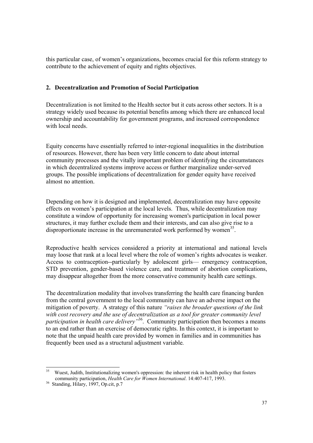this particular case, of women's organizations, becomes crucial for this reform strategy to contribute to the achievement of equity and rights objectives.

## **2. Decentralization and Promotion of Social Participation**

Decentralization is not limited to the Health sector but it cuts across other sectors. It is a strategy widely used because its potential benefits among which there are enhanced local ownership and accountability for government programs, and increased correspondence with local needs.

Equity concerns have essentially referred to inter-regional inequalities in the distribution of resources. However, there has been very little concern to date about internal community processes and the vitally important problem of identifying the circumstances in which decentralized systems improve access or further marginalize under-served groups. The possible implications of decentralization for gender equity have received almost no attention.

Depending on how it is designed and implemented, decentralization may have opposite effects on women's participation at the local levels. Thus, while decentralization may constitute a window of opportunity for increasing women's participation in local power structures, it may further exclude them and their interests, and can also give rise to a disproportionate increase in the unremunerated work performed by women<sup>35</sup>.

Reproductive health services considered a priority at international and national levels may loose that rank at a local level where the role of women's rights advocates is weaker. Access to contraception--particularly by adolescent girls— emergency contraception, STD prevention, gender-based violence care, and treatment of abortion complications, may disappear altogether from the more conservative community health care settings.

The decentralization modality that involves transferring the health care financing burden from the central government to the local community can have an adverse impact on the mitigation of poverty. A strategy of this nature *"raises the broader questions of the link with cost recovery and the use of decentralization as a tool for greater community level participation in health care delivery*<sup>36</sup>. Community participation then becomes a means to an end rather than an exercise of democratic rights. In this context, it is important to note that the unpaid health care provided by women in families and in communities has frequently been used as a structural adjustment variable**.** 

 $35$ 35 Wuest, Judith, Institutionalizing women's oppression: the inherent risk in health policy that fosters community participation, *Health Care for Women International*. 14:407-417, 1993. 36 Standing, Hilary, 1997, Op.cit, p.7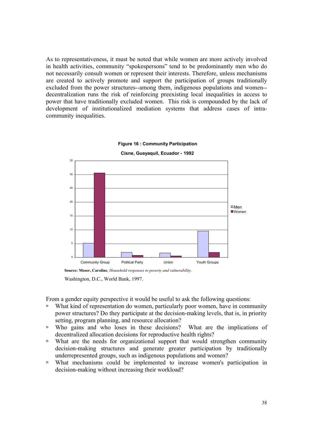As to representativeness, it must be noted that while women are more actively involved in health activities, community "spokespersons" tend to be predominantly men who do not necessarily consult women or represent their interests. Therefore, unless mechanisms are created to actively promote and support the participation of groups traditionally excluded from the power structures--among them, indigenous populations and women- decentralization runs the risk of reinforcing preexisting local inequalities in access to power that have traditionally excluded women. This risk is compounded by the lack of development of institutionalized mediation systems that address cases of intracommunity inequalities.





**Source: Moser, Caroline**, *Household responses to poverty and vulnerability*.

Washington, D.C., World Bank, 1997.

From a gender equity perspective it would be useful to ask the following questions:

- à What kind of representation do women, particularly poor women, have in community power structures? Do they participate at the decision-making levels, that is, in priority setting, program planning, and resource allocation?
- à Who gains and who loses in these decisions? What are the implications of decentralized allocation decisions for reproductive health rights?
- à What are the needs for organizational support that would strengthen community decision-making structures and generate greater participation by traditionally underrepresented groups, such as indigenous populations and women?
- à What mechanisms could be implemented to increase women's participation in decision-making without increasing their workload?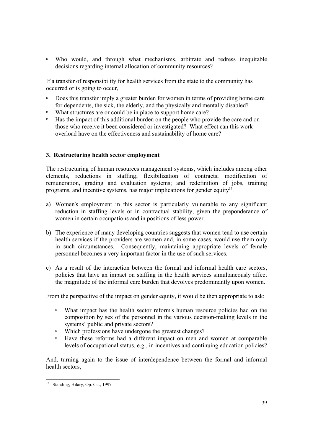à Who would, and through what mechanisms, arbitrate and redress inequitable decisions regarding internal allocation of community resources?

If a transfer of responsibility for health services from the state to the community has occurred or is going to occur,

- $\Box$  Does this transfer imply a greater burden for women in terms of providing home care for dependents, the sick, the elderly, and the physically and mentally disabled?
- à What structures are or could be in place to support home care?
- $\Box$  Has the impact of this additional burden on the people who provide the care and on those who receive it been considered or investigated? What effect can this work overload have on the effectiveness and sustainability of home care?

#### **3.****Restructuring health sector employment**

The restructuring of human resources management systems, which includes among other elements, reductions in staffing; flexibilization of contracts; modification of remuneration, grading and evaluation systems; and redefinition of jobs, training programs, and incentive systems, has major implications for gender equity<sup>37</sup>.

- a) Women's employment in this sector is particularly vulnerable to any significant reduction in staffing levels or in contractual stability, given the preponderance of women in certain occupations and in positions of less power.
- b) The experience of many developing countries suggests that women tend to use certain health services if the providers are women and, in some cases, would use them only in such circumstances. Consequently, maintaining appropriate levels of female personnel becomes a very important factor in the use of such services.
- c) As a result of the interaction between the formal and informal health care sectors, policies that have an impact on staffing in the health services simultaneously affect the magnitude of the informal care burden that devolves predominantly upon women.

From the perspective of the impact on gender equity, it would be then appropriate to ask:

- à What impact has the health sector reform's human resource policies had on the composition by sex of the personnel in the various decision-making levels in the systems' public and private sectors?
- à Which professions have undergone the greatest changes?
- à Have these reforms had a different impact on men and women at comparable levels of occupational status, e.g., in incentives and continuing education policies?

And, turning again to the issue of interdependence between the formal and informal health sectors,

 $\overline{a}$ 

<sup>&</sup>lt;sup>37</sup> Standing, Hilary, Op. Cit., 1997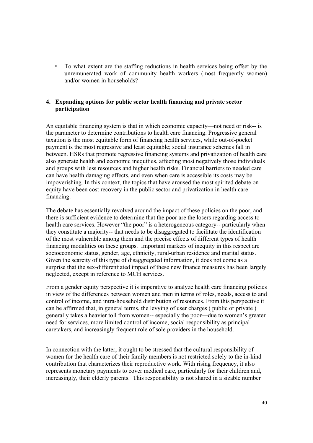$\overline{a}$  To what extent are the staffing reductions in health services being offset by the unremunerated work of community health workers (most frequently women) and/or women in households?

#### **4. Expanding options for public sector health financing and private sector participation**

An equitable financing system is that in which economic capacity—not need or risk-- is the parameter to determine contributions to health care financing. Progressive general taxation is the most equitable form of financing health services, while out-of-pocket payment is the most regressive and least equitable; social insurance schemes fall in between. HSRs that promote regressive financing systems and privatization of health care also generate health and economic inequities, affecting most negatively those individuals and groups with less resources and higher health risks. Financial barriers to needed care can have health damaging effects, and even when care is accessible its costs may be impoverishing. In this context, the topics that have aroused the most spirited debate on equity have been cost recovery in the public sector and privatization in health care financing.

The debate has essentially revolved around the impact of these policies on the poor, and there is sufficient evidence to determine that the poor are the losers regarding access to health care services. However "the poor" is a heterogeneous category-- particularly when they constitute a majority-- that needs to be disaggregated to facilitate the identification of the most vulnerable among them and the precise effects of different types of health financing modalities on these groups. Important markers of inequity in this respect are socioeconomic status, gender, age, ethnicity, rural-urban residence and marital status. Given the scarcity of this type of disaggregated information, it does not come as a surprise that the sex-differentiated impact of these new finance measures has been largely neglected, except in reference to MCH services.

From a gender equity perspective it is imperative to analyze health care financing policies in view of the differences between women and men in terms of roles, needs, access to and control of income, and intra-household distribution of resources. From this perspective it can be affirmed that, in general terms, the levying of user charges ( public or private ) generally takes a heavier toll from women-- especially the poor—due to women's greater need for services, more limited control of income, social responsibility as principal caretakers, and increasingly frequent role of sole providers in the household.

In connection with the latter, it ought to be stressed that the cultural responsibility of women for the health care of their family members is not restricted solely to the in-kind contribution that characterizes their reproductive work. With rising frequency, it also represents monetary payments to cover medical care, particularly for their children and, increasingly, their elderly parents. This responsibility is not shared in a sizable number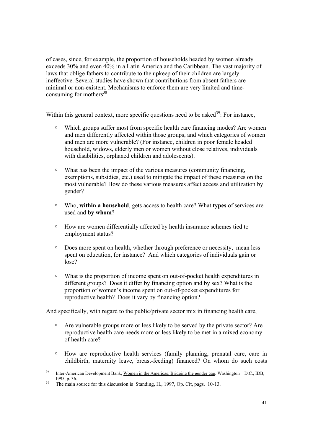of cases, since, for example, the proportion of households headed by women already exceeds 30% and even 40% in a Latin America and the Caribbean. The vast majority of laws that oblige fathers to contribute to the upkeep of their children are largely ineffective. Several studies have shown that contributions from absent fathers are minimal or non-existent. Mechanisms to enforce them are very limited and timeconsuming for mothers $^{38}$ 

Within this general context, more specific questions need to be asked  $39$ . For instance,

- à Which groups suffer most from specific health care financing modes? Are women and men differently affected within those groups, and which categories of women and men are more vulnerable? (For instance, children in poor female headed household, widows, elderly men or women without close relatives, individuals with disabilities, orphaned children and adolescents).
- $\Box$  What has been the impact of the various measures (community financing, exemptions, subsidies, etc.) used to mitigate the impact of these measures on the most vulnerable? How do these various measures affect access and utilization by gender?
- à Who, **within a household**, gets access to health care? What **types** of services are used and **by whom**?
- <sup> $\Box$ </sup> How are women differentially affected by health insurance schemes tied to employment status?
- à Does more spent on health, whether through preference or necessity, mean less spent on education, for instance? And which categories of individuals gain or lose?
- à What is the proportion of income spent on out-of-pocket health expenditures in different groups? Does it differ by financing option and by sex? What is the proportion of women's income spent on out-of-pocket expenditures for reproductive health? Does it vary by financing option?

And specifically, with regard to the public/private sector mix in financing health care,

- à Are vulnerable groups more or less likely to be served by the private sector? Are reproductive health care needs more or less likely to be met in a mixed economy of health care?
- à How are reproductive health services (family planning, prenatal care, care in childbirth, maternity leave, breast-feeding) financed? On whom do such costs

 $38$ Inter-American Development Bank, Women in the Americas: Bridging the gender gap. Washington D.C., IDB, 1995, p. 36.<br>
The main

The main source for this discussion is Standing, H., 1997, Op. Cit, pags. 10-13.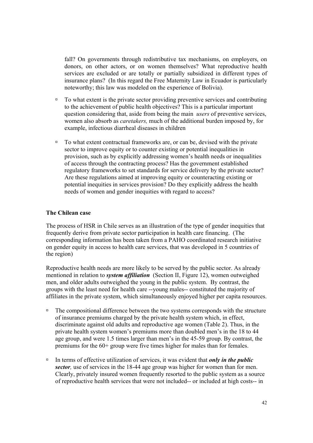fall? On governments through redistributive tax mechanisms, on employers, on donors, on other actors, or on women themselves? What reproductive health services are excluded or are totally or partially subsidized in different types of insurance plans? (In this regard the Free Maternity Law in Ecuador is particularly noteworthy; this law was modeled on the experience of Bolivia).

- à To what extent is the private sector providing preventive services and contributing to the achievement of public health objectives? This is a particular important question considering that, aside from being the main *users* of preventive services, women also absorb as *caretakers,* much of the additional burden imposed by, for example, infectious diarrheal diseases in children
- à To what extent contractual frameworks are, or can be, devised with the private sector to improve equity or to counter existing or potential inequalities in provision, such as by explicitly addressing women's health needs or inequalities of access through the contracting process? Has the government established regulatory frameworks to set standards for service delivery by the private sector? Are these regulations aimed at improving equity or counteracting existing or potential inequities in services provision? Do they explicitly address the health needs of women and gender inequities with regard to access?

#### **The Chilean case**

The process of HSR in Chile serves as an illustration of the type of gender inequities that frequently derive from private sector participation in health care financing. (The corresponding information has been taken from a PAHO coordinated research initiative on gender equity in access to health care services, that was developed in 5 countries of the region)

Reproductive health needs are more likely to be served by the public sector. As already mentioned in relation to *system affiliation* (Section II, Figure 12), women outweighed men, and older adults outweighed the young in the public system. By contrast, the groups with the least need for health care --young males-- constituted the majority of affiliates in the private system, which simultaneously enjoyed higher per capita resources.

- $\Box$  The compositional difference between the two systems corresponds with the structure of insurance premiums charged by the private health system which, in effect, discriminate against old adults and reproductive age women (Table 2). Thus, in the private health system women's premiums more than doubled men's in the 18 to 44 age group, and were 1.5 times larger than men's in the 45-59 group. By contrast, the premiums for the 60+ group were five times higher for males than for females.
- à In terms of effective utilization of services, it was evident that *only in the public sector,* use of services in the 18-44 age group was higher for women than for men. Clearly, privately insured women frequently resorted to the public system as a source of reproductive health services that were not included-- or included at high costs-- in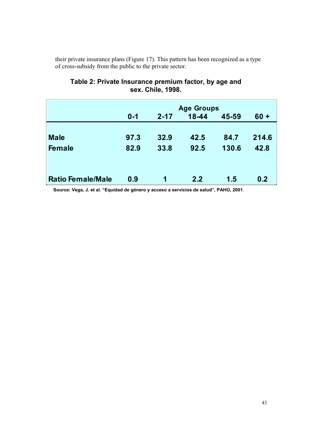their private insurance plans (Figure 17). This pattern has been recognized as a type of cross-subsidy from the public to the private sector.

|                          | <b>Age Groups</b> |          |           |       |        |  |
|--------------------------|-------------------|----------|-----------|-------|--------|--|
|                          | $0 - 1$           | $2 - 17$ | $18 - 44$ | 45-59 | $60 +$ |  |
|                          |                   |          |           |       |        |  |
| <b>Male</b>              | 97.3              | 32.9     | 42.5      | 84.7  | 214.6  |  |
| <b>Female</b>            | 82.9              | 33.8     | 92.5      | 130.6 | 42.8   |  |
|                          |                   |          |           |       |        |  |
|                          |                   |          |           |       |        |  |
| <b>Ratio Female/Male</b> | 0.9               | 1        | 2.2       | 1.5   | 0.2    |  |

# **Table 2: Private Insurance premium factor, by age and sex. Chile, 1998.**

**Source: Vega, J. et al. "Equidad de género y acceso a servicios de salud", PAHO, 2001**.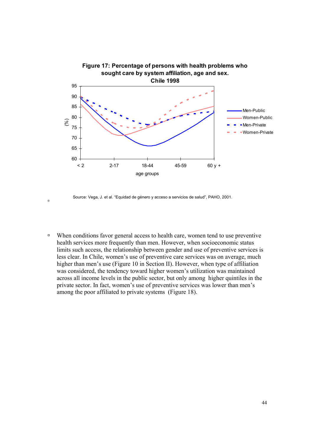

Source: Vega, J. et al. "Equidad de género y acceso a servicios de salud", PAHO, 2001.

à

à When conditions favor general access to health care, women tend to use preventive health services more frequently than men. However, when socioeconomic status limits such access, the relationship between gender and use of preventive services is less clear. In Chile, women's use of preventive care services was on average, much higher than men's use (Figure 10 in Section II). However, when type of affiliation was considered, the tendency toward higher women's utilization was maintained across all income levels in the public sector, but only among higher quintiles in the private sector. In fact, women's use of preventive services was lower than men's among the poor affiliated to private systems (Figure 18).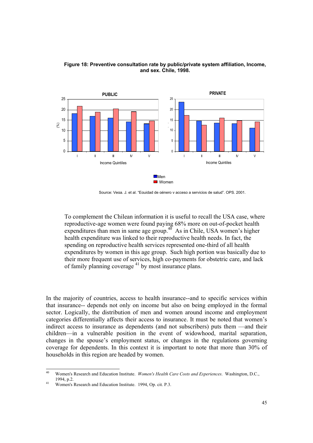

**Figure 18: Preventive consultation rate by public/private system affiliation, Income, and sex. Chile, 1998.** 

Source: Vega, J. et al. "Equidad de género y acceso a servicios de salud", OPS, 2001.

To complement the Chilean information it is useful to recall the USA case, where reproductive-age women were found paying 68% more on out-of-pocket health expenditures than men in same age group.<sup>40</sup> As in Chile, USA women's higher health expenditure was linked to their reproductive health needs. In fact, the spending on reproductive health services represented one-third of all health expenditures by women in this age group. Such high portion was basically due to their more frequent use of services, high co-payments for obstetric care, and lack of family planning coverage  $41$  by most insurance plans.

In the majority of countries, access to health insurance--and to specific services within that insurance-- depends not only on income but also on being employed in the formal sector. Logically, the distribution of men and women around income and employment categories differentially affects their access to insurance. It must be noted that women's indirect access to insurance as dependents (and not subscribers) puts them —and their children—in a vulnerable position in the event of widowhood, marital separation, changes in the spouse's employment status, or changes in the regulations governing coverage for dependents. In this context it is important to note that more than 30% of households in this region are headed by women.

<sup>40</sup> 40 Women's Research and Education Institute. *Women's Health Care Costs and Experiences*. Washington, D.C., 1994, p.2.<br><sup>41</sup> Women's Research and Education Institute. 1994, Op. cit. P.3.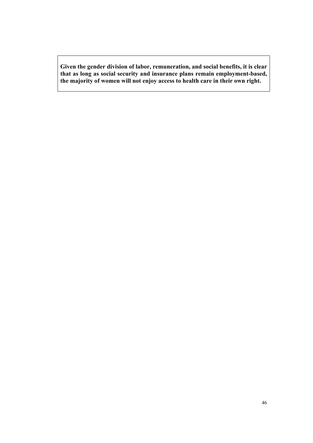**Given the gender division of labor, remuneration, and social benefits, it is clear that as long as social security and insurance plans remain employment-based, the majority of women will not enjoy access to health care in their own right.**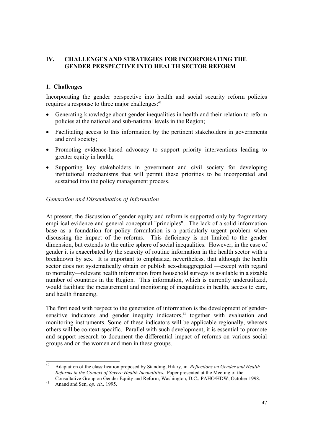# **IV. CHALLENGES AND STRATEGIES FOR INCORPORATING THE GENDER PERSPECTIVE INTO HEALTH SECTOR REFORM**

# **1. Challenges**

Incorporating the gender perspective into health and social security reform policies requires a response to three major challenges:<sup>42</sup>

- Generating knowledge about gender inequalities in health and their relation to reform policies at the national and sub-national levels in the Region;
- Facilitating access to this information by the pertinent stakeholders in governments and civil society;
- Promoting evidence-based advocacy to support priority interventions leading to greater equity in health;
- Supporting key stakeholders in government and civil society for developing institutional mechanisms that will permit these priorities to be incorporated and sustained into the policy management process.

#### *Generation and Dissemination of Information*

At present, the discussion of gender equity and reform is supported only by fragmentary empirical evidence and general conceptual "principles". The lack of a solid information base as a foundation for policy formulation is a particularly urgent problem when discussing the impact of the reforms. This deficiency is not limited to the gender dimension, but extends to the entire sphere of social inequalities. However, in the case of gender it is exacerbated by the scarcity of routine information in the health sector with a breakdown by sex. It is important to emphasize, nevertheless, that although the health sector does not systematically obtain or publish sex-disaggregated —except with regard to mortality—relevant health information from household surveys is available in a sizable number of countries in the Region. This information, which is currently underutilized, would facilitate the measurement and monitoring of inequalities in health, access to care, and health financing.

The first need with respect to the generation of information is the development of gendersensitive indicators and gender inequity indicators,<sup>43</sup> together with evaluation and monitoring instruments. Some of these indicators will be applicable regionally, whereas others will be context-specific. Parallel with such development, it is essential to promote and support research to document the differential impact of reforms on various social groups and on the women and men in these groups.

 $42$ 42 Adaptation of the classification proposed by Standing, Hilary, in *Reflections on Gender and Health Reforms in the Context of Severe Health Inequalities*. Paper presented at the Meeting of the Consultative Group on Gender Equity and Reform, Washington, D.C., PAHO/HDW, October 1998. 43 Anand and Sen, *op. cit.,* 1995.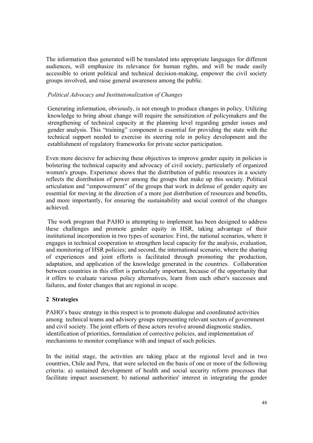The information thus generated will be translated into appropriate languages for different audiences, will emphasize its relevance for human rights, and will be made easily accessible to orient political and technical decision-making, empower the civil society groups involved, and raise general awareness among the public.

#### *Political Advocacy and Institutionalization of Changes*

Generating information, obviously, is not enough to produce changes in policy. Utilizing knowledge to bring about change will require the sensitization of policymakers and the strengthening of technical capacity at the planning level regarding gender issues and gender analysis. This "training" component is essential for providing the state with the technical support needed to exercise its steering role in policy development and the establishment of regulatory frameworks for private sector participation.

Even more decisive for achieving these objectives to improve gender equity in policies is bolstering the technical capacity and advocacy of civil society, particularly of organized women's groups. Experience shows that the distribution of public resources in a society reflects the distribution of power among the groups that make up this society. Political articulation and "empowerment" of the groups that work in defense of gender equity are essential for moving in the direction of a more just distribution of resources and benefits, and more importantly, for ensuring the sustainability and social control of the changes achieved.

The work program that PAHO is attempting to implement has been designed to address these challenges and promote gender equity in HSR, taking advantage of their institutional incorporation in two types of scenarios: First, the national scenarios, where it engages in technical cooperation to strengthen local capacity for the analysis, evaluation, and monitoring of HSR policies; and second, the international scenario, where the sharing of experiences and joint efforts is facilitated through promoting the production, adaptation, and application of the knowledge generated in the countries. Collaboration between countries in this effort is particularly important, because of the opportunity that it offers to evaluate various policy alternatives, learn from each other's successes and failures, and foster changes that are regional in scope.

#### **2 Strategies**

PAHO's basic strategy in this respect is to promote dialogue and coordinated activities among technical teams and advisory groups representing relevant sectors of government and civil society. The joint efforts of these actors revolve around diagnostic studies, identification of priorities, formulation of corrective policies, and implementation of mechanisms to monitor compliance with and impact of such policies.

In the initial stage, the activities are taking place at the regional level and in two countries, Chile and Peru, that were selected on the basis of one or more of the following criteria: a) sustained development of health and social security reform processes that facilitate impact assessment; b) national authorities' interest in integrating the gender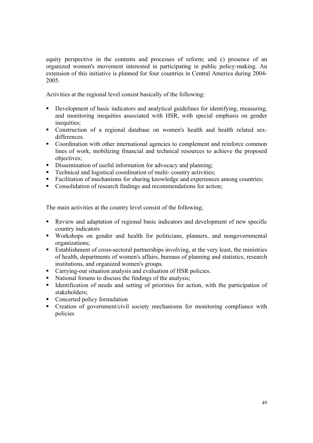equity perspective in the contents and processes of reform; and c) presence of an organized women's movement interested in participating in public policy-making. An extension of this initiative is planned for four countries in Central America during 2004- 2005.

Activities at the regional level consist basically of the following:

- Development of basic indicators and analytical guidelines for identifying, measuring, and monitoring inequities associated with HSR, with special emphasis on gender inequities:
- Construction of a regional database on women's health and health related sexdifferences.
- Coordination with other international agencies to complement and reinforce common lines of work, mobilizing financial and technical resources to achieve the proposed objectives;
- Dissemination of useful information for advocacy and planning;
- Technical and logistical coordination of multi- country activities;
- Facilitation of mechanisms for sharing knowledge and experiences among countries;
- Consolidation of research findings and recommendations for action;

The main activities at the country level consist of the following;

- Review and adaptation of regional basic indicators and development of new specific country indicators
- Workshops on gender and health for politicians, planners, and nongovernmental organizations;
- Establishment of cross-sectoral partnerships involving, at the very least, the ministries of health, departments of women's affairs, bureaus of planning and statistics, research institutions, and organized women's groups.
- Carrying-out situation analysis and evaluation of HSR policies.
- National forums to discuss the findings of the analysis;
- Identification of needs and setting of priorities for action, with the participation of stakeholders;
- Concerted policy formulation
- Creation of government/civil society mechanisms for monitoring compliance with policies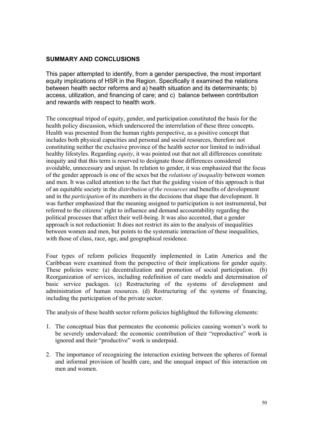## **SUMMARY AND CONCLUSIONS**

This paper attempted to identify, from a gender perspective, the most important equity implications of HSR in the Region. Specifically it examined the relations between health sector reforms and a) health situation and its determinants; b) access, utilization, and financing of care; and c) balance between contribution and rewards with respect to health work.

The conceptual tripod of equity, gender, and participation constituted the basis for the health policy discussion, which underscored the interrelation of these three concepts. Health was presented from the human rights perspective, as a positive concept that includes both physical capacities and personal and social resources, therefore not constituting neither the exclusive province of the health sector nor limited to individual healthy lifestyles. Regarding *equity*, it was pointed out that not all differences constitute inequity and that this term is reserved to designate those differences considered avoidable, unnecessary and unjust. In relation to gender, it was emphasized that the focus of the gender approach is one of the sexes but the *relations of inequality* between women and men. It was called attention to the fact that the guiding vision of this approach is that of an equitable society in the *distribution of the resources* and benefits of development and in the *participation* of its members in the decisions that shape that development. It was further emphasized that the meaning assigned to participation is not instrumental, but referred to the citizens' right to influence and demand accountability regarding the political processes that affect their well-being. It was also accented, that a gender approach is not reductionist: It does not restrict its aim to the analysis of inequalities between women and men, but points to the systematic interaction of these inequalities, with those of class, race, age, and geographical residence**.** 

Four types of reform policies frequently implemented in Latin America and the Caribbean were examined from the perspective of their implications for gender equity. These policies were: (a) decentralization and promotion of social participation. (b) Reorganization of services, including redefinition of care models and determination of basic service packages. (c) Restructuring of the systems of development and administration of human resources. (d) Restructuring of the systems of financing, including the participation of the private sector.

The analysis of these health sector reform policies highlighted the following elements:

- 1. The conceptual bias that permeates the economic policies causing women's work to be severely undervalued: the economic contribution of their "reproductive" work is ignored and their "productive" work is underpaid.
- 2. The importance of recognizing the interaction existing between the spheres of formal and informal provision of health care, and the unequal impact of this interaction on men and women.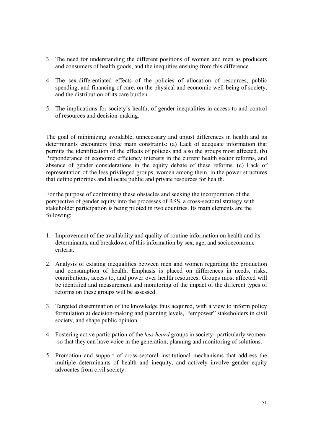- 3. The need for understanding the different positions of women and men as producers and consumers of health goods, and the inequities ensuing from this difference..
- 4. The sex-differentiated effects of the policies of allocation of resources, public spending, and financing of care, on the physical and economic well-being of society, and the distribution of its care burden.
- 5. The implications for society's health, of gender inequalities in access to and control of resources and decision-making.

The goal of minimizing avoidable, unnecessary and unjust differences in health and its determinants encounters three main constraints: (a) Lack of adequate information that permits the identification of the effects of policies and also the groups most affected. (b) Preponderance of economic efficiency interests in the current health sector reforms, and absence of gender considerations in the equity debate of these reforms. (c) Lack of representation of the less privileged groups, women among them, in the power structures that define priorities and allocate public and private resources for health.

For the purpose of confronting these obstacles and seeking the incorporation of the perspective of gender equity into the processes of RSS, a cross-sectoral strategy with stakeholder participation is being piloted in two countries. Its main elements are the following:

- 1. Improvement of the availability and quality of routine information on health and its determinants, and breakdown of this information by sex, age, and socioeconomic criteria.
- 2. Analysis of existing inequalities between men and women regarding the production and consumption of health. Emphasis is placed on differences in needs, risks, contributions, access to, and power over health resources. Groups most affected will be identified and measurement and monitoring of the impact of the different types of reforms on these groups will be assessed.
- 3. Targeted dissemination of the knowledge thus acquired, with a view to inform policy formulation at decision-making and planning levels, "empower" stakeholders in civil society, and shape public opinion.
- 4. Fostering active participation of the *less heard* groups in society--particularly women- -so that they can have voice in the generation, planning and monitoring of solutions.
- 5. Promotion and support of cross-sectoral institutional mechanisms that address the multiple determinants of health and inequity, and actively involve gender equity advocates from civil society.